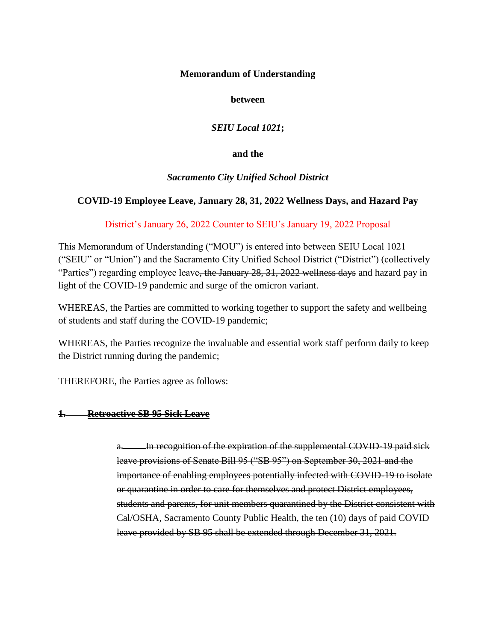### **Memorandum of Understanding**

**between**

*SEIU Local 1021***;**

**and the**

## *Sacramento City Unified School District*

# **COVID-19 Employee Leave, January 28, 31, 2022 Wellness Days, and Hazard Pay**

## District's January 26, 2022 Counter to SEIU's January 19, 2022 Proposal

This Memorandum of Understanding ("MOU") is entered into between SEIU Local 1021 ("SEIU" or "Union") and the Sacramento City Unified School District ("District") (collectively "Parties") regarding employee leave, the January 28, 31, 2022 wellness days and hazard pay in light of the COVID-19 pandemic and surge of the omicron variant.

WHEREAS, the Parties are committed to working together to support the safety and wellbeing of students and staff during the COVID-19 pandemic;

WHEREAS, the Parties recognize the invaluable and essential work staff perform daily to keep the District running during the pandemic;

THEREFORE, the Parties agree as follows:

## **1. Retroactive SB 95 Sick Leave**

a. In recognition of the expiration of the supplemental COVID-19 paid sick leave provisions of Senate Bill 95 ("SB 95") on September 30, 2021 and the importance of enabling employees potentially infected with COVID-19 to isolate or quarantine in order to care for themselves and protect District employees, students and parents, for unit members quarantined by the District consistent with Cal/OSHA, Sacramento County Public Health, the ten (10) days of paid COVID leave provided by SB 95 shall be extended through December 31, 2021.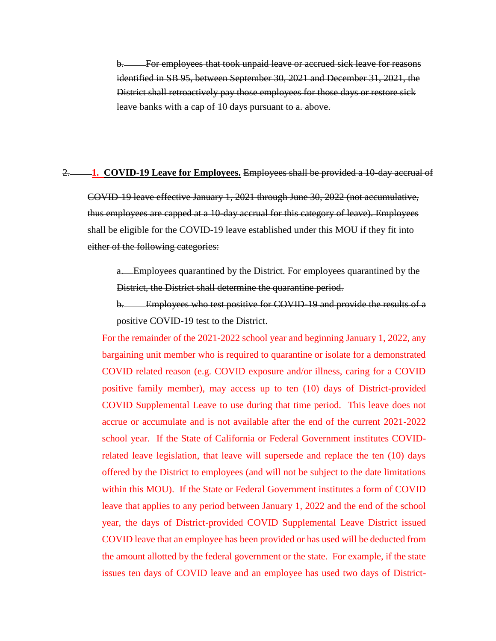For employees that took unpaid leave or accrued sick leave for reasons identified in SB 95, between September 30, 2021 and December 31, 2021, the District shall retroactively pay those employees for those days or restore sick leave banks with a cap of 10 days pursuant to a. above.

#### 2. **1. COVID-19 Leave for Employees.** Employees shall be provided a 10-day accrual of

COVID-19 leave effective January 1, 2021 through June 30, 2022 (not accumulative, thus employees are capped at a 10-day accrual for this category of leave). Employees shall be eligible for the COVID-19 leave established under this MOU if they fit into either of the following categories:

a. Employees quarantined by the District. For employees quarantined by the District, the District shall determine the quarantine period.

b. Employees who test positive for COVID-19 and provide the results of a positive COVID-19 test to the District.

For the remainder of the 2021-2022 school year and beginning January 1, 2022, any bargaining unit member who is required to quarantine or isolate for a demonstrated COVID related reason (e.g. COVID exposure and/or illness, caring for a COVID positive family member), may access up to ten (10) days of District-provided COVID Supplemental Leave to use during that time period. This leave does not accrue or accumulate and is not available after the end of the current 2021-2022 school year. If the State of California or Federal Government institutes COVIDrelated leave legislation, that leave will supersede and replace the ten (10) days offered by the District to employees (and will not be subject to the date limitations within this MOU). If the State or Federal Government institutes a form of COVID leave that applies to any period between January 1, 2022 and the end of the school year, the days of District-provided COVID Supplemental Leave District issued COVID leave that an employee has been provided or has used will be deducted from the amount allotted by the federal government or the state. For example, if the state issues ten days of COVID leave and an employee has used two days of District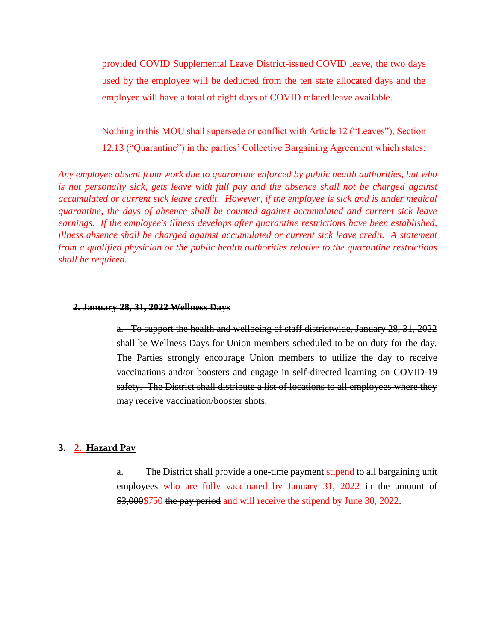provided COVID Supplemental Leave District-issued COVID leave, the two days used by the employee will be deducted from the ten state allocated days and the employee will have a total of eight days of COVID related leave available.

Nothing in this MOU shall supersede or conflict with Article 12 ("Leaves"), Section 12.13 ("Quarantine") in the parties' Collective Bargaining Agreement which states:

*Any employee absent from work due to quarantine enforced by public health authorities, but who is not personally sick, gets leave with full pay and the absence shall not be charged against accumulated or current sick leave credit. However, if the employee is sick and is under medical quarantine, the days of absence shall be counted against accumulated and current sick leave earnings. If the employee's illness develops after quarantine restrictions have been established, illness absence shall be charged against accumulated or current sick leave credit. A statement from a qualified physician or the public health authorities relative to the quarantine restrictions shall be required.*

#### **2. January 28, 31, 2022 Wellness Days**

a. To support the health and wellbeing of staff districtwide, January 28, 31, 2022 shall be Wellness Days for Union members scheduled to be on duty for the day. The Parties strongly encourage Union members to utilize the day to receive vaccinations and/or boosters and engage in self-directed learning on COVID-19 safety. The District shall distribute a list of locations to all employees where they may receive vaccination/booster shots.

#### **3. 2. Hazard Pay**

a. The District shall provide a one-time payment stipend to all bargaining unit employees who are fully vaccinated by January 31, 2022 in the amount of \$3,000\$750 the pay period and will receive the stipend by June 30, 2022.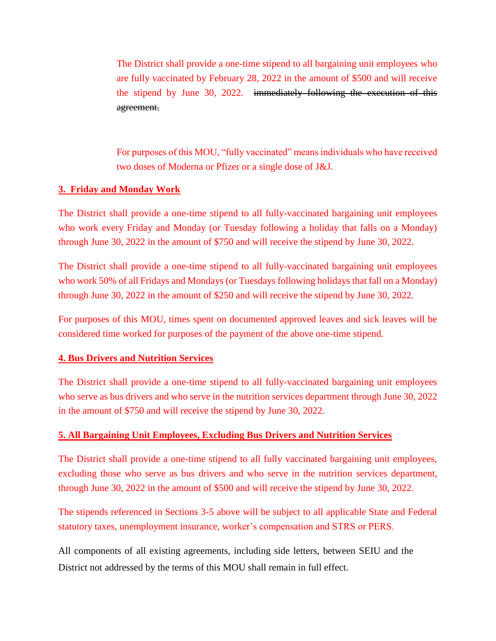The District shall provide a one-time stipend to all bargaining unit employees who are fully vaccinated by February 28, 2022 in the amount of \$500 and will receive the stipend by June 30, 2022. immediately following the execution of this agreement.

For purposes of this MOU, "fully vaccinated" means individuals who have received two doses of Moderna or Pfizer or a single dose of J&J.

## **3. Friday and Monday Work**

The District shall provide a one-time stipend to all fully-vaccinated bargaining unit employees who work every Friday and Monday (or Tuesday following a holiday that falls on a Monday) through June 30, 2022 in the amount of \$750 and will receive the stipend by June 30, 2022.

The District shall provide a one-time stipend to all fully-vaccinated bargaining unit employees who work 50% of all Fridays and Mondays (or Tuesdays following holidays that fall on a Monday) through June 30, 2022 in the amount of \$250 and will receive the stipend by June 30, 2022.

For purposes of this MOU, times spent on documented approved leaves and sick leaves will be considered time worked for purposes of the payment of the above one-time stipend.

### **4. Bus Drivers and Nutrition Services**

The District shall provide a one-time stipend to all fully-vaccinated bargaining unit employees who serve as bus drivers and who serve in the nutrition services department through June 30, 2022 in the amount of \$750 and will receive the stipend by June 30, 2022.

### **5. All Bargaining Unit Employees, Excluding Bus Drivers and Nutrition Services**

The District shall provide a one-time stipend to all fully vaccinated bargaining unit employees, excluding those who serve as bus drivers and who serve in the nutrition services department, through June 30, 2022 in the amount of \$500 and will receive the stipend by June 30, 2022.

The stipends referenced in Sections 3-5 above will be subject to all applicable State and Federal statutory taxes, unemployment insurance, worker's compensation and STRS or PERS.

All components of all existing agreements, including side letters, between SEIU and the District not addressed by the terms of this MOU shall remain in full effect.